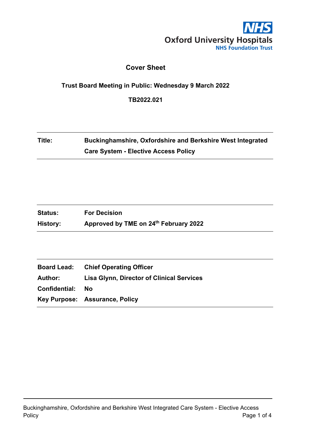

#### **Cover Sheet**

#### **Trust Board Meeting in Public: Wednesday 9 March 2022**

**TB2022.021**

## **Title: Buckinghamshire, Oxfordshire and Berkshire West Integrated Care System - Elective Access Policy**

| <b>Status:</b>  | <b>For Decision</b>                   |
|-----------------|---------------------------------------|
| <b>History:</b> | Approved by TME on 24th February 2022 |

|               | <b>Board Lead:</b> Chief Operating Officer        |
|---------------|---------------------------------------------------|
|               | Author: Lisa Glynn, Director of Clinical Services |
| Confidential: | - No                                              |
|               | Key Purpose: Assurance, Policy                    |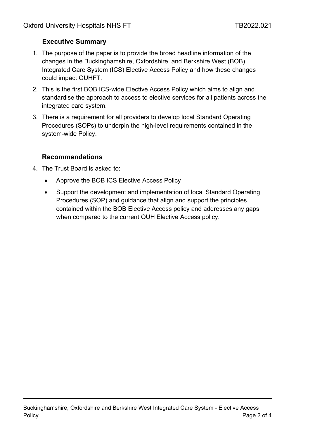#### **Executive Summary**

- 1. The purpose of the paper is to provide the broad headline information of the changes in the Buckinghamshire, Oxfordshire, and Berkshire West (BOB) Integrated Care System (ICS) Elective Access Policy and how these changes could impact OUHFT.
- 2. This is the first BOB ICS-wide Elective Access Policy which aims to align and standardise the approach to access to elective services for all patients across the integrated care system.
- 3. There is a requirement for all providers to develop local Standard Operating Procedures (SOPs) to underpin the high-level requirements contained in the system-wide Policy.

#### **Recommendations**

- 4. The Trust Board is asked to:
	- Approve the BOB ICS Elective Access Policy
	- Support the development and implementation of local Standard Operating Procedures (SOP) and guidance that align and support the principles contained within the BOB Elective Access policy and addresses any gaps when compared to the current OUH Elective Access policy.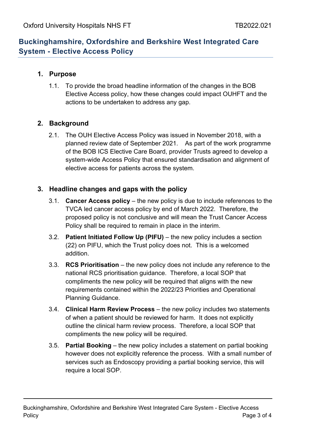### **Buckinghamshire, Oxfordshire and Berkshire West Integrated Care System - Elective Access Policy**

#### **1. Purpose**

1.1. To provide the broad headline information of the changes in the BOB Elective Access policy, how these changes could impact OUHFT and the actions to be undertaken to address any gap.

#### **2. Background**

2.1. The OUH Elective Access Policy was issued in November 2018, with a planned review date of September 2021. As part of the work programme of the BOB ICS Elective Care Board, provider Trusts agreed to develop a system-wide Access Policy that ensured standardisation and alignment of elective access for patients across the system.

#### **3. Headline changes and gaps with the policy**

- 3.1. **Cancer Access policy** the new policy is due to include references to the TVCA led cancer access policy by end of March 2022. Therefore, the proposed policy is not conclusive and will mean the Trust Cancer Access Policy shall be required to remain in place in the interim.
- 3.2. **Patient Initiated Follow Up (PIFU)** the new policy includes a section (22) on PIFU, which the Trust policy does not. This is a welcomed addition.
- 3.3. **RCS Prioritisation**  the new policy does not include any reference to the national RCS prioritisation guidance. Therefore, a local SOP that compliments the new policy will be required that aligns with the new requirements contained within the 2022/23 Priorities and Operational Planning Guidance.
- 3.4. **Clinical Harm Review Process** the new policy includes two statements of when a patient should be reviewed for harm. It does not explicitly outline the clinical harm review process. Therefore, a local SOP that compliments the new policy will be required.
- 3.5. **Partial Booking** the new policy includes a statement on partial booking however does not explicitly reference the process. With a small number of services such as Endoscopy providing a partial booking service, this will require a local SOP.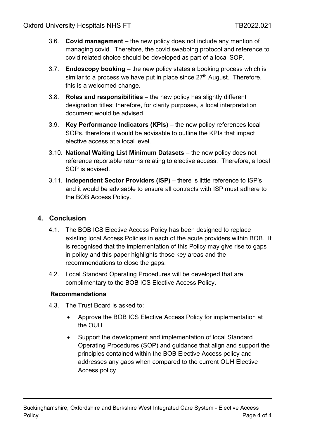- 3.6. **Covid management**  the new policy does not include any mention of managing covid. Therefore, the covid swabbing protocol and reference to covid related choice should be developed as part of a local SOP.
- 3.7. **Endoscopy booking** the new policy states a booking process which is similar to a process we have put in place since  $27<sup>th</sup>$  August. Therefore, this is a welcomed change.
- 3.8. **Roles and responsibilities** the new policy has slightly different designation titles; therefore, for clarity purposes, a local interpretation document would be advised.
- 3.9. **Key Performance Indicators (KPIs)** the new policy references local SOPs, therefore it would be advisable to outline the KPIs that impact elective access at a local level.
- 3.10. **National Waiting List Minimum Datasets** the new policy does not reference reportable returns relating to elective access. Therefore, a local SOP is advised.
- 3.11. **Independent Sector Providers (ISP)** there is little reference to ISP's and it would be advisable to ensure all contracts with ISP must adhere to the BOB Access Policy.

#### **4. Conclusion**

- 4.1. The BOB ICS Elective Access Policy has been designed to replace existing local Access Policies in each of the acute providers within BOB. It is recognised that the implementation of this Policy may give rise to gaps in policy and this paper highlights those key areas and the recommendations to close the gaps.
- 4.2. Local Standard Operating Procedures will be developed that are complimentary to the BOB ICS Elective Access Policy.

#### **Recommendations**

- 4.3. The Trust Board is asked to:
	- Approve the BOB ICS Elective Access Policy for implementation at the OUH
	- Support the development and implementation of local Standard Operating Procedures (SOP) and guidance that align and support the principles contained within the BOB Elective Access policy and addresses any gaps when compared to the current OUH Elective Access policy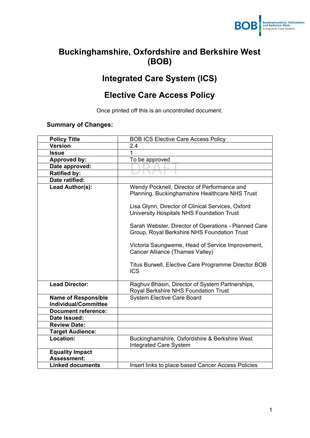

## **Buckinghamshire, Oxfordshire and Berkshire West (BOB)**

## **Integrated Care System (ICS)**

## **Elective Care Access Policy**

Once printed off this is an uncontrolled document.

#### **Summary of Changes:**

| <b>Policy Title</b>                                       | <b>BOB ICS Elective Care Access Policy</b>                                                                                                                                                                                                                                                                                                                                                                                                                         |
|-----------------------------------------------------------|--------------------------------------------------------------------------------------------------------------------------------------------------------------------------------------------------------------------------------------------------------------------------------------------------------------------------------------------------------------------------------------------------------------------------------------------------------------------|
| Version                                                   | 2.4                                                                                                                                                                                                                                                                                                                                                                                                                                                                |
| <b>Issue</b>                                              | 1                                                                                                                                                                                                                                                                                                                                                                                                                                                                  |
| <b>Approved by:</b>                                       | To be approved                                                                                                                                                                                                                                                                                                                                                                                                                                                     |
| Date approved:                                            |                                                                                                                                                                                                                                                                                                                                                                                                                                                                    |
| <b>Ratified by:</b>                                       |                                                                                                                                                                                                                                                                                                                                                                                                                                                                    |
| Date ratified:                                            |                                                                                                                                                                                                                                                                                                                                                                                                                                                                    |
| Lead Author(s):                                           | Wendy Pocknell, Director of Performance and<br>Planning, Buckinghamshire Healthcare NHS Trust<br>Lisa Glynn, Director of Clinical Services, Oxford<br>University Hospitals NHS Foundation Trust<br>Sarah Webster, Director of Operations - Planned Care<br>Group, Royal Berkshire NHS Foundation Trust<br>Victoria Saungweme, Head of Service Improvement,<br>Cancer Alliance (Thames Valley)<br>Titus Burwell, Elective Care Programme Director BOB<br><b>ICS</b> |
| <b>Lead Director:</b>                                     | Raghuv Bhasin, Director of System Partnerships,<br>Royal Berkshire NHS Foundation Trust                                                                                                                                                                                                                                                                                                                                                                            |
| <b>Name of Responsible</b><br><b>Individual/Committee</b> | <b>System Elective Care Board</b>                                                                                                                                                                                                                                                                                                                                                                                                                                  |
| <b>Document reference:</b>                                |                                                                                                                                                                                                                                                                                                                                                                                                                                                                    |
| Date Issued:                                              |                                                                                                                                                                                                                                                                                                                                                                                                                                                                    |
| <b>Review Date:</b>                                       |                                                                                                                                                                                                                                                                                                                                                                                                                                                                    |
| <b>Target Audience:</b>                                   |                                                                                                                                                                                                                                                                                                                                                                                                                                                                    |
| Location:                                                 | Buckinghamshire, Oxfordshire & Berkshire West<br><b>Integrated Care System</b>                                                                                                                                                                                                                                                                                                                                                                                     |
| <b>Equality Impact</b><br><b>Assessment:</b>              |                                                                                                                                                                                                                                                                                                                                                                                                                                                                    |
| <b>Linked documents</b>                                   | Insert links to place based Cancer Access Policies                                                                                                                                                                                                                                                                                                                                                                                                                 |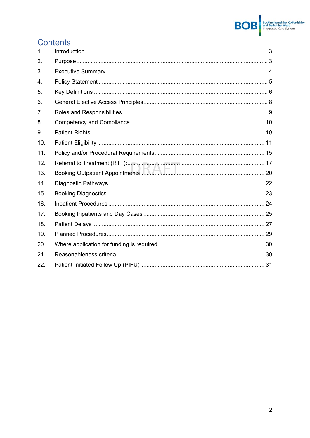# **BOB** Buckinghamshire, Oxfordshire<br>Integrated Care System

## Contents

| 1.             |                                                                        |  |
|----------------|------------------------------------------------------------------------|--|
| 2.             |                                                                        |  |
| 3.             |                                                                        |  |
| 4.             |                                                                        |  |
| 5.             |                                                                        |  |
| 6.             |                                                                        |  |
| 7 <sub>1</sub> |                                                                        |  |
| 8.             |                                                                        |  |
| 9.             |                                                                        |  |
| 10.            |                                                                        |  |
| 11.            |                                                                        |  |
| 12.            |                                                                        |  |
| 13.            | Booking Outpatient Appointments. Martin Martin Martin Martin Martin 20 |  |
| 14.            |                                                                        |  |
| 15.            |                                                                        |  |
| 16.            |                                                                        |  |
| 17.            |                                                                        |  |
| 18.            |                                                                        |  |
| 19.            |                                                                        |  |
| 20.            |                                                                        |  |
| 21.            |                                                                        |  |
| 22.            |                                                                        |  |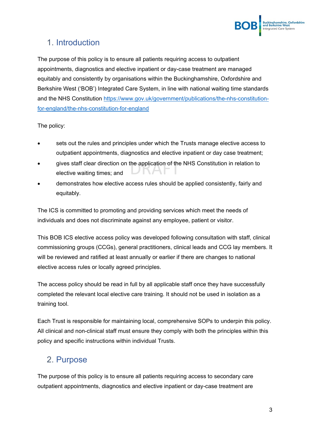

## <span id="page-6-0"></span>1. Introduction

The purpose of this policy is to ensure all patients requiring access to outpatient appointments, diagnostics and elective inpatient or day-case treatment are managed equitably and consistently by organisations within the Buckinghamshire, Oxfordshire and Berkshire West ('BOB') Integrated Care System, in line with national waiting time standards and the NHS Constitution [https://www.gov.uk/government/publications/the-nhs-constitution](https://www.gov.uk/government/publications/the-nhs-constitution-for-england/the-nhs-constitution-for-england)[for-england/the-nhs-constitution-for-england](https://www.gov.uk/government/publications/the-nhs-constitution-for-england/the-nhs-constitution-for-england) 

The policy:

- sets out the rules and principles under which the Trusts manage elective access to outpatient appointments, diagnostics and elective inpatient or day case treatment;
- gives staff clear direction on the application of the NHS Constitution in relation to elective waiting times; and
- demonstrates how elective access rules should be applied consistently, fairly and equitably.

The ICS is committed to promoting and providing services which meet the needs of individuals and does not discriminate against any employee, patient or visitor.

This BOB ICS elective access policy was developed following consultation with staff, clinical commissioning groups (CCGs), general practitioners, clinical leads and CCG lay members. It will be reviewed and ratified at least annually or earlier if there are changes to national elective access rules or locally agreed principles.

The access policy should be read in full by all applicable staff once they have successfully completed the relevant local elective care training. It should not be used in isolation as a training tool.

Each Trust is responsible for maintaining local, comprehensive SOPs to underpin this policy. All clinical and non-clinical staff must ensure they comply with both the principles within this policy and specific instructions within individual Trusts.

## <span id="page-6-1"></span>2. Purpose

The purpose of this policy is to ensure all patients requiring access to secondary care outpatient appointments, diagnostics and elective inpatient or day-case treatment are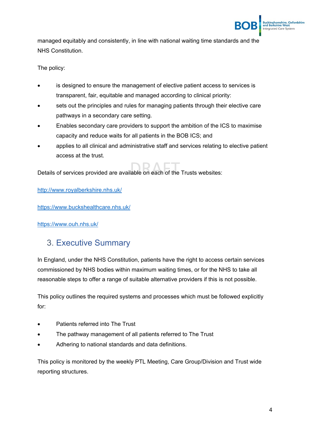

managed equitably and consistently, in line with national waiting time standards and the NHS Constitution.

The policy:

- is designed to ensure the management of elective patient access to services is transparent, fair, equitable and managed according to clinical priority:
- sets out the principles and rules for managing patients through their elective care pathways in a secondary care setting.
- Enables secondary care providers to support the ambition of the ICS to maximise capacity and reduce waits for all patients in the BOB ICS; and
- applies to all clinical and administrative staff and services relating to elective patient access at the trust.

Details of services provided are available on each of the Trusts websites:

<http://www.royalberkshire.nhs.uk/>

<https://www.buckshealthcare.nhs.uk/>

<https://www.ouh.nhs.uk/>

## <span id="page-7-0"></span>3. Executive Summary

In England, under the NHS Constitution, patients have the right to access certain services commissioned by NHS bodies within maximum waiting times, or for the NHS to take all reasonable steps to offer a range of suitable alternative providers if this is not possible.

This policy outlines the required systems and processes which must be followed explicitly for:

- Patients referred into The Trust
- The pathway management of all patients referred to The Trust
- Adhering to national standards and data definitions.

This policy is monitored by the weekly PTL Meeting, Care Group/Division and Trust wide reporting structures.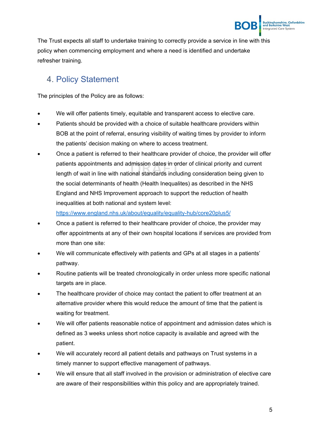

The Trust expects all staff to undertake training to correctly provide a service in line with this policy when commencing employment and where a need is identified and undertake refresher training.

## <span id="page-8-0"></span>4. Policy Statement

The principles of the Policy are as follows:

- We will offer patients timely, equitable and transparent access to elective care.
- Patients should be provided with a choice of suitable healthcare providers within BOB at the point of referral, ensuring visibility of waiting times by provider to inform the patients' decision making on where to access treatment.
- Once a patient is referred to their healthcare provider of choice, the provider will offer patients appointments and admission dates in order of clinical priority and current length of wait in line with national standards including consideration being given to the social determinants of health (Health Inequalites) as described in the NHS England and NHS Improvement approach to support the reduction of health inequalities at both national and system level:

<https://www.england.nhs.uk/about/equality/equality-hub/core20plus5/>

- Once a patient is referred to their healthcare provider of choice, the provider may offer appointments at any of their own hospital locations if services are provided from more than one site:
- We will communicate effectively with patients and GPs at all stages in a patients' pathway.
- Routine patients will be treated chronologically in order unless more specific national targets are in place.
- The healthcare provider of choice may contact the patient to offer treatment at an alternative provider where this would reduce the amount of time that the patient is waiting for treatment.
- We will offer patients reasonable notice of appointment and admission dates which is defined as 3 weeks unless short notice capacity is available and agreed with the patient.
- We will accurately record all patient details and pathways on Trust systems in a timely manner to support effective management of pathways.
- We will ensure that all staff involved in the provision or administration of elective care are aware of their responsibilities within this policy and are appropriately trained.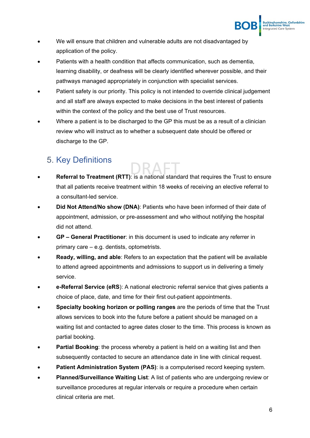

- We will ensure that children and vulnerable adults are not disadvantaged by application of the policy.
- Patients with a health condition that affects communication, such as dementia, learning disability, or deafness will be clearly identified wherever possible, and their pathways managed appropriately in conjunction with specialist services.
- Patient safety is our priority. This policy is not intended to override clinical judgement and all staff are always expected to make decisions in the best interest of patients within the context of the policy and the best use of Trust resources.
- Where a patient is to be discharged to the GP this must be as a result of a clinician review who will instruct as to whether a subsequent date should be offered or discharge to the GP.

## <span id="page-9-0"></span>5. Key Definitions

- **Referral to Treatment (RTT)**: is a national standard that requires the Trust to ensure that all patients receive treatment within 18 weeks of receiving an elective referral to a consultant-led service.
- **Did Not Attend/No show (DNA)**: Patients who have been informed of their date of appointment, admission, or pre-assessment and who without notifying the hospital did not attend.
- **GP – General Practitioner**: in this document is used to indicate any referrer in primary care – e.g. dentists, optometrists.
- **Ready, willing, and able**: Refers to an expectation that the patient will be available to attend agreed appointments and admissions to support us in delivering a timely service.
- **e-Referral Service (eRS**): A national electronic referral service that gives patients a choice of place, date, and time for their first out-patient appointments.
- **Specialty booking horizon or polling ranges** are the periods of time that the Trust allows services to book into the future before a patient should be managed on a waiting list and contacted to agree dates closer to the time. This process is known as partial booking.
- **Partial Booking:** the process whereby a patient is held on a waiting list and then subsequently contacted to secure an attendance date in line with clinical request.
- **Patient Administration System (PAS): is a computerised record keeping system.**
- **Planned/Surveillance Waiting List**: A list of patients who are undergoing review or surveillance procedures at regular intervals or require a procedure when certain clinical criteria are met.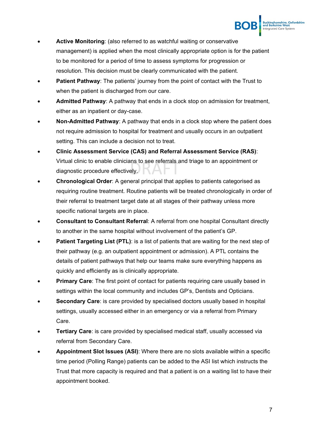## **Buckinghamshire, Oxfordshire<br>and Berkshire West<br>Integrated Care System**

- **Active Monitoring**: (also referred to as watchful waiting or conservative management) is applied when the most clinically appropriate option is for the patient to be monitored for a period of time to assess symptoms for progression or resolution. This decision must be clearly communicated with the patient.
- **Patient Pathway**: The patients' journey from the point of contact with the Trust to when the patient is discharged from our care.
- **Admitted Pathway**: A pathway that ends in a clock stop on admission for treatment, either as an inpatient or day-case.
- **Non-Admitted Pathway**: A pathway that ends in a clock stop where the patient does not require admission to hospital for treatment and usually occurs in an outpatient setting. This can include a decision not to treat.
- **Clinic Assessment Service (CAS) and Referral Assessment Service (RAS)**: Virtual clinic to enable clinicians to see referrals and triage to an appointment or diagnostic procedure effectively.
- **Chronological Order**: A general principal that applies to patients categorised as requiring routine treatment. Routine patients will be treated chronologically in order of their referral to treatment target date at all stages of their pathway unless more specific national targets are in place.
- **Consultant to Consultant Referral**: A referral from one hospital Consultant directly to another in the same hospital without involvement of the patient's GP.
- **Patient Targeting List (PTL)**: is a list of patients that are waiting for the next step of their pathway (e.g. an outpatient appointment or admission). A PTL contains the details of patient pathways that help our teams make sure everything happens as quickly and efficiently as is clinically appropriate.
- **Primary Care:** The first point of contact for patients requiring care usually based in settings within the local community and includes GP's, Dentists and Opticians.
- **Secondary Care:** is care provided by specialised doctors usually based in hospital settings, usually accessed either in an emergency or via a referral from Primary Care.
- **Tertiary Care:** is care provided by specialised medical staff, usually accessed via referral from Secondary Care.
- **Appointment Slot Issues (ASI)**: Where there are no slots available within a specific time period (Polling Range) patients can be added to the ASI list which instructs the Trust that more capacity is required and that a patient is on a waiting list to have their appointment booked.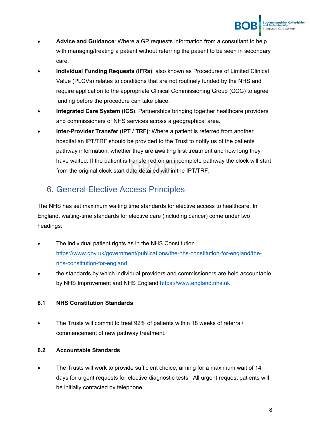

- **Advice and Guidance**: Where a GP requests information from a consultant to help with managing/treating a patient without referring the patient to be seen in secondary care.
- **Individual Funding Requests (IFRs)**: also known as Procedures of Limited Clinical Value (PLCVs) relates to conditions that are not routinely funded by the NHS and require application to the appropriate Clinical Commissioning Group (CCG) to agree funding before the procedure can take place.
- **Integrated Care System (ICS)**. Partnerships bringing together healthcare providers and commissioners of NHS services across a geographical area.
- **Inter-Provider Transfer (IPT / TRF)**: Where a patient is referred from another hospital an IPT/TRF should be provided to the Trust to notify us of the patients' pathway information, whether they are awaiting first treatment and how long they have waited. If the patient is transferred on an incomplete pathway the clock will start from the original clock start date detailed within the IPT/TRF.

## <span id="page-11-0"></span>6. General Elective Access Principles

The NHS has set maximum waiting time standards for elective access to healthcare. In England, waiting-time standards for elective care (including cancer) come under two headings:

- The individual patient rights as in the NHS Constitution [https://www.gov.uk/government/publications/the-nhs-constitution-for-england/the](https://www.gov.uk/government/publications/the-nhs-constitution-for-england/the-nhs-constitution-for-england)[nhs-constitution-for-england](https://www.gov.uk/government/publications/the-nhs-constitution-for-england/the-nhs-constitution-for-england)
- the standards by which individual providers and commissioners are held accountable by NHS Improvement and NHS England [https://www.england.nhs.uk](https://www.england.nhs.uk/)

#### **6.1 NHS Constitution Standards**

• The Trusts will commit to treat 92% of patients within 18 weeks of referral/ commencement of new pathway treatment.

#### **6.2 Accountable Standards**

• The Trusts will work to provide sufficient choice, aiming for a maximum wait of 14 days for urgent requests for elective diagnostic tests. All urgent request patients will be initially contacted by telephone.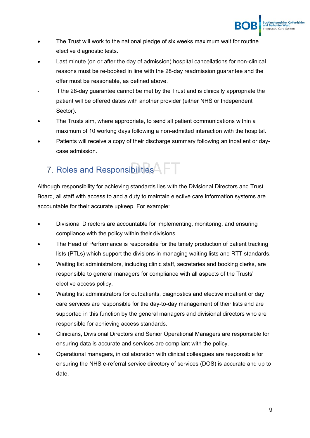- The Trust will work to the national pledge of six weeks maximum wait for routine elective diagnostic tests.
- Last minute (on or after the day of admission) hospital cancellations for non-clinical reasons must be re-booked in line with the 28-day readmission guarantee and the offer must be reasonable, as defined above.
- If the 28-day guarantee cannot be met by the Trust and is clinically appropriate the patient will be offered dates with another provider (either NHS or Independent Sector).
- The Trusts aim, where appropriate, to send all patient communications within a maximum of 10 working days following a non-admitted interaction with the hospital.
- Patients will receive a copy of their discharge summary following an inpatient or daycase admission.

## <span id="page-12-0"></span>7. Roles and Responsibilities<sup><sup>4</sup></sup>

Although responsibility for achieving standards lies with the Divisional Directors and Trust Board, all staff with access to and a duty to maintain elective care information systems are accountable for their accurate upkeep. For example:

- Divisional Directors are accountable for implementing, monitoring, and ensuring compliance with the policy within their divisions.
- The Head of Performance is responsible for the timely production of patient tracking lists (PTLs) which support the divisions in managing waiting lists and RTT standards.
- Waiting list administrators, including clinic staff, secretaries and booking clerks, are responsible to general managers for compliance with all aspects of the Trusts' elective access policy.
- Waiting list administrators for outpatients, diagnostics and elective inpatient or day care services are responsible for the day-to-day management of their lists and are supported in this function by the general managers and divisional directors who are responsible for achieving access standards.
- Clinicians, Divisional Directors and Senior Operational Managers are responsible for ensuring data is accurate and services are compliant with the policy.
- Operational managers, in collaboration with clinical colleagues are responsible for ensuring the NHS e-referral service directory of services (DOS) is accurate and up to date.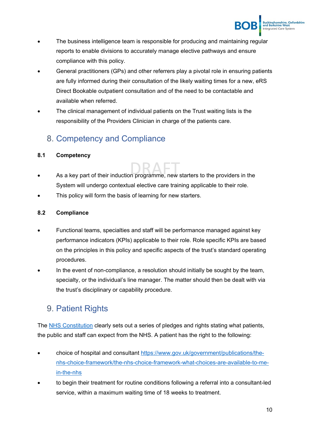

- The business intelligence team is responsible for producing and maintaining regular reports to enable divisions to accurately manage elective pathways and ensure compliance with this policy.
- General practitioners (GPs) and other referrers play a pivotal role in ensuring patients are fully informed during their consultation of the likely waiting times for a new, eRS Direct Bookable outpatient consultation and of the need to be contactable and available when referred.
- The clinical management of individual patients on the Trust waiting lists is the responsibility of the Providers Clinician in charge of the patients care.

## <span id="page-13-0"></span>8. Competency and Compliance

#### **8.1 Competency**

- As a key part of their induction programme, new starters to the providers in the System will undergo contextual elective care training applicable to their role.
- This policy will form the basis of learning for new starters.

#### **8.2 Compliance**

- Functional teams, specialties and staff will be performance managed against key performance indicators (KPIs) applicable to their role. Role specific KPIs are based on the principles in this policy and specific aspects of the trust's standard operating procedures.
- In the event of non-compliance, a resolution should initially be sought by the team, specialty, or the individual's line manager. The matter should then be dealt with via the trust's disciplinary or capability procedure.

## <span id="page-13-1"></span>9. Patient Rights

The [NHS Constitution](https://www.gov.uk/government/publications/the-nhs-constitution-for-england/the-nhs-constitution-for-england) clearly sets out a series of pledges and rights stating what patients, the public and staff can expect from the NHS. A patient has the right to the following:

- choice of hospital and consultant [https://www.gov.uk/government/publications/the](https://www.gov.uk/government/publications/the-nhs-choice-framework/the-nhs-choice-framework-what-choices-are-available-to-me-in-the-nhs)[nhs-choice-framework/the-nhs-choice-framework-what-choices-are-available-to-me](https://www.gov.uk/government/publications/the-nhs-choice-framework/the-nhs-choice-framework-what-choices-are-available-to-me-in-the-nhs)[in-the-nhs](https://www.gov.uk/government/publications/the-nhs-choice-framework/the-nhs-choice-framework-what-choices-are-available-to-me-in-the-nhs)
- to begin their treatment for routine conditions following a referral into a consultant-led service, within a maximum waiting time of 18 weeks to treatment.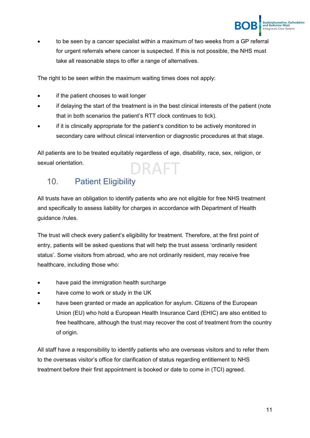

• to be seen by a cancer specialist within a maximum of two weeks from a GP referral for urgent referrals where cancer is suspected. If this is not possible, the NHS must take all reasonable steps to offer a range of alternatives.

The right to be seen within the maximum waiting times does not apply:

- if the patient chooses to wait longer
- if delaying the start of the treatment is in the best clinical interests of the patient (note that in both scenarios the patient's RTT clock continues to tick).
- if it is clinically appropriate for the patient's condition to be actively monitored in secondary care without clinical intervention or diagnostic procedures at that stage.

All patients are to be treated equitably regardless of age, disability, race, sex, religion, or sexual orientation. DRAFT

## <span id="page-14-0"></span>10. Patient Eligibility

All trusts have an obligation to identify patients who are not eligible for free NHS treatment and specifically to assess liability for charges in accordance with Department of Health guidance /rules.

The trust will check every patient's eligibility for treatment. Therefore, at the first point of entry, patients will be asked questions that will help the trust assess 'ordinarily resident status'. Some visitors from abroad, who are not ordinarily resident, may receive free healthcare, including those who:

- have paid the immigration health surcharge
- have come to work or study in the UK
- have been granted or made an application for asylum. Citizens of the European Union (EU) who hold a European Health Insurance Card (EHIC) are also entitled to free healthcare, although the trust may recover the cost of treatment from the country of origin.

All staff have a responsibility to identify patients who are overseas visitors and to refer them to the overseas visitor's office for clarification of status regarding entitlement to NHS treatment before their first appointment is booked or date to come in (TCI) agreed.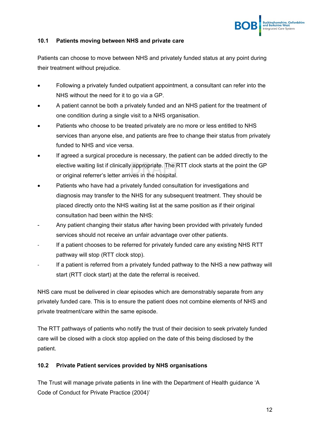

#### **10.1 Patients moving between NHS and private care**

Patients can choose to move between NHS and privately funded status at any point during their treatment without prejudice.

- Following a privately funded outpatient appointment, a consultant can refer into the NHS without the need for it to go via a GP.
- A patient cannot be both a privately funded and an NHS patient for the treatment of one condition during a single visit to a NHS organisation.
- Patients who choose to be treated privately are no more or less entitled to NHS services than anyone else, and patients are free to change their status from privately funded to NHS and vice versa.
- If agreed a surgical procedure is necessary, the patient can be added directly to the elective waiting list if clinically appropriate. The RTT clock starts at the point the GP or original referrer's letter arrives in the hospital.
- Patients who have had a privately funded consultation for investigations and diagnosis may transfer to the NHS for any subsequent treatment. They should be placed directly onto the NHS waiting list at the same position as if their original consultation had been within the NHS:
- Any patient changing their status after having been provided with privately funded services should not receive an unfair advantage over other patients.
- If a patient chooses to be referred for privately funded care any existing NHS RTT pathway will stop (RTT clock stop).
- If a patient is referred from a privately funded pathway to the NHS a new pathway will start (RTT clock start) at the date the referral is received.

NHS care must be delivered in clear episodes which are demonstrably separate from any privately funded care. This is to ensure the patient does not combine elements of NHS and private treatment/care within the same episode.

The RTT pathways of patients who notify the trust of their decision to seek privately funded care will be closed with a clock stop applied on the date of this being disclosed by the patient.

#### **10.2 Private Patient services provided by NHS organisations**

The Trust will manage private patients in line with the Department of Health guidance 'A Code of Conduct for Private Practice (2004)'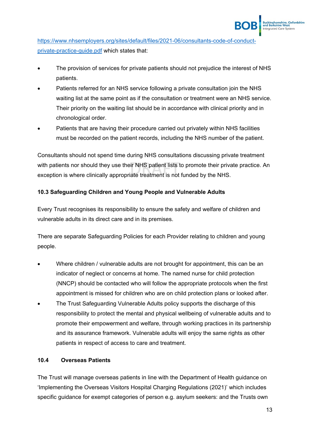[https://www.nhsemployers.org/sites/default/files/2021-06/consultants-code-of-conduct](https://www.nhsemployers.org/sites/default/files/2021-06/consultants-code-of-conduct-private-practice-guide.pdf)[private-practice-guide.pdf](https://www.nhsemployers.org/sites/default/files/2021-06/consultants-code-of-conduct-private-practice-guide.pdf) which states that:

- The provision of services for private patients should not prejudice the interest of NHS patients.
- Patients referred for an NHS service following a private consultation join the NHS waiting list at the same point as if the consultation or treatment were an NHS service. Their priority on the waiting list should be in accordance with clinical priority and in chronological order.
- Patients that are having their procedure carried out privately within NHS facilities must be recorded on the patient records, including the NHS number of the patient.

Consultants should not spend time during NHS consultations discussing private treatment with patients nor should they use their NHS patient lists to promote their private practice. An exception is where clinically appropriate treatment is not funded by the NHS.

#### **10.3 Safeguarding Children and Young People and Vulnerable Adults**

Every Trust recognises its responsibility to ensure the safety and welfare of children and vulnerable adults in its direct care and in its premises.

There are separate Safeguarding Policies for each Provider relating to children and young people.

- Where children / vulnerable adults are not brought for appointment, this can be an indicator of neglect or concerns at home. The named nurse for child protection (NNCP) should be contacted who will follow the appropriate protocols when the first appointment is missed for children who are on child protection plans or looked after.
- The Trust Safeguarding Vulnerable Adults policy supports the discharge of this responsibility to protect the mental and physical wellbeing of vulnerable adults and to promote their empowerment and welfare, through working practices in its partnership and its assurance framework. Vulnerable adults will enjoy the same rights as other patients in respect of access to care and treatment.

#### **10.4 Overseas Patients**

The Trust will manage overseas patients in line with the Department of Health guidance on 'Implementing the Overseas Visitors Hospital Charging Regulations (2021)' which includes specific guidance for exempt categories of person e.g. asylum seekers: and the Trusts own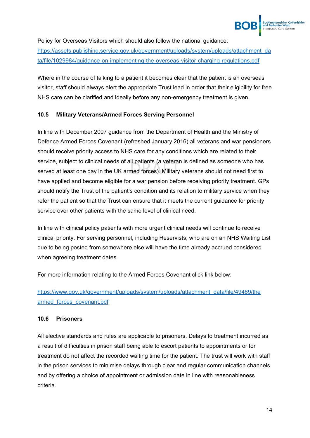

Policy for Overseas Visitors which should also follow the national guidance: [https://assets.publishing.service.gov.uk/government/uploads/system/uploads/attachment\\_da](https://assets.publishing.service.gov.uk/government/uploads/system/uploads/attachment_data/file/1029984/guidance-on-implementing-the-overseas-visitor-charging-regulations.pdf) [ta/file/1029984/guidance-on-implementing-the-overseas-visitor-charging-regulations.pdf](https://assets.publishing.service.gov.uk/government/uploads/system/uploads/attachment_data/file/1029984/guidance-on-implementing-the-overseas-visitor-charging-regulations.pdf)

Where in the course of talking to a patient it becomes clear that the patient is an overseas visitor, staff should always alert the appropriate Trust lead in order that their eligibility for free NHS care can be clarified and ideally before any non-emergency treatment is given.

#### **10.5 Military Veterans/Armed Forces Serving Personnel**

In line with December 2007 guidance from the Department of Health and the Ministry of Defence Armed Forces Covenant (refreshed January 2016) all veterans and war pensioners should receive priority access to NHS care for any conditions which are related to their service, subject to clinical needs of all patients (a veteran is defined as someone who has served at least one day in the UK armed forces). Military veterans should not need first to have applied and become eligible for a war pension before receiving priority treatment. GPs should notify the Trust of the patient's condition and its relation to military service when they refer the patient so that the Trust can ensure that it meets the current guidance for priority service over other patients with the same level of clinical need.

In line with clinical policy patients with more urgent clinical needs will continue to receive clinical priority. For serving personnel, including Reservists, who are on an NHS Waiting List due to being posted from somewhere else will have the time already accrued considered when agreeing treatment dates.

For more information relating to the Armed Forces Covenant click link below:

#### [https://www.gov.uk/government/uploads/system/uploads/attachment\\_data/file/49469/the](https://www.gov.uk/government/uploads/system/uploads/attachment_data/file/49469/the%20armed_forces_covenant.pdf)  [armed\\_forces\\_covenant.pdf](https://www.gov.uk/government/uploads/system/uploads/attachment_data/file/49469/the%20armed_forces_covenant.pdf)

#### **10.6 Prisoners**

All elective standards and rules are applicable to prisoners. Delays to treatment incurred as a result of difficulties in prison staff being able to escort patients to appointments or for treatment do not affect the recorded waiting time for the patient. The trust will work with staff in the prison services to minimise delays through clear and regular communication channels and by offering a choice of appointment or admission date in line with reasonableness criteria.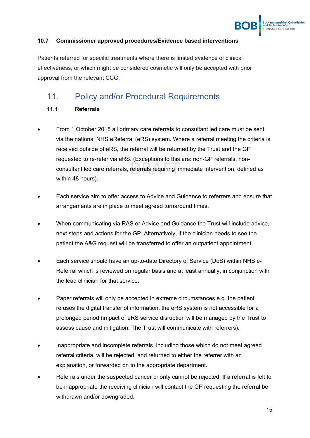

#### **10.7 Commissioner approved procedures/Evidence based interventions**

Patients referred for specific treatments where there is limited evidence of clinical effectiveness, or which might be considered cosmetic will only be accepted with prior approval from the relevant CCG.

## <span id="page-18-0"></span>11. Policy and/or Procedural Requirements

#### **11.1 Referrals**

- From 1 October 2018 all primary care referrals to consultant led care must be sent via the national NHS eReferral (eRS) system. Where a referral meeting the criteria is received outside of eRS, the referral will be returned by the Trust and the GP requested to re-refer via eRS. (Exceptions to this are: non-GP referrals, nonconsultant led care referrals, referrals requiring immediate intervention, defined as within 48 hours).
- Each service aim to offer access to Advice and Guidance to referrers and ensure that arrangements are in place to meet agreed turnaround times.
- When communicating via RAS or Advice and Guidance the Trust will include advice, next steps and actions for the GP. Alternatively, if the clinician needs to see the patient the A&G request will be transferred to offer an outpatient appointment.
- Each service should have an up-to-date Directory of Service (DoS) within NHS e-Referral which is reviewed on regular basis and at least annually, in conjunction with the lead clinician for that service.
- Paper referrals will only be accepted in extreme circumstances e.g. the patient refuses the digital transfer of information, the eRS system is not accessible for a prolonged period (impact of eRS service disruption will be managed by the Trust to assess cause and mitigation. The Trust will communicate with referrers).
- Inappropriate and incomplete referrals, including those which do not meet agreed referral criteria, will be rejected, and returned to either the referrer with an explanation, or forwarded on to the appropriate department.
- Referrals under the suspected cancer priority cannot be rejected. If a referral is felt to be inappropriate the receiving clinician will contact the GP requesting the referral be withdrawn and/or downgraded.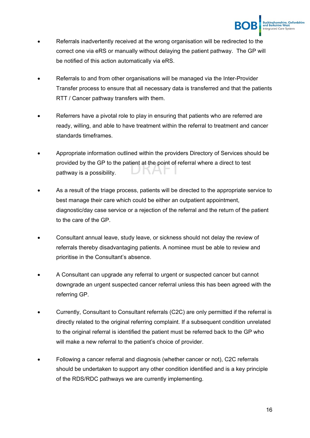

- Referrals inadvertently received at the wrong organisation will be redirected to the correct one via eRS or manually without delaying the patient pathway. The GP will be notified of this action automatically via eRS.
- Referrals to and from other organisations will be managed via the Inter-Provider Transfer process to ensure that all necessary data is transferred and that the patients RTT / Cancer pathway transfers with them.
- Referrers have a pivotal role to play in ensuring that patients who are referred are ready, willing, and able to have treatment within the referral to treatment and cancer standards timeframes.
- Appropriate information outlined within the providers Directory of Services should be provided by the GP to the patient at the point of referral where a direct to test pathway is a possibility.
- As a result of the triage process, patients will be directed to the appropriate service to best manage their care which could be either an outpatient appointment, diagnostic/day case service or a rejection of the referral and the return of the patient to the care of the GP.
- Consultant annual leave, study leave, or sickness should not delay the review of referrals thereby disadvantaging patients. A nominee must be able to review and prioritise in the Consultant's absence.
- A Consultant can upgrade any referral to urgent or suspected cancer but cannot downgrade an urgent suspected cancer referral unless this has been agreed with the referring GP.
- Currently, Consultant to Consultant referrals (C2C) are only permitted if the referral is directly related to the original referring complaint. If a subsequent condition unrelated to the original referral is identified the patient must be referred back to the GP who will make a new referral to the patient's choice of provider.
- Following a cancer referral and diagnosis (whether cancer or not), C2C referrals should be undertaken to support any other condition identified and is a key principle of the RDS/RDC pathways we are currently implementing.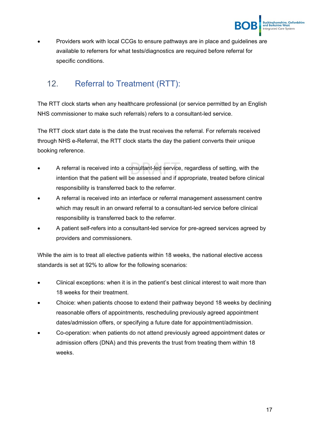

• Providers work with local CCGs to ensure pathways are in place and guidelines are available to referrers for what tests/diagnostics are required before referral for specific conditions.

## <span id="page-20-0"></span>12. Referral to Treatment (RTT):

The RTT clock starts when any healthcare professional (or service permitted by an English NHS commissioner to make such referrals) refers to a consultant-led service.

The RTT clock start date is the date the trust receives the referral. For referrals received through NHS e-Referral, the RTT clock starts the day the patient converts their unique booking reference.

- A referral is received into a consultant-led service, regardless of setting, with the intention that the patient will be assessed and if appropriate, treated before clinical responsibility is transferred back to the referrer.
- A referral is received into an interface or referral management assessment centre which may result in an onward referral to a consultant-led service before clinical responsibility is transferred back to the referrer.
- A patient self-refers into a consultant-led service for pre-agreed services agreed by providers and commissioners.

While the aim is to treat all elective patients within 18 weeks, the national elective access standards is set at 92% to allow for the following scenarios:

- Clinical exceptions: when it is in the patient's best clinical interest to wait more than 18 weeks for their treatment.
- Choice: when patients choose to extend their pathway beyond 18 weeks by declining reasonable offers of appointments, rescheduling previously agreed appointment dates/admission offers, or specifying a future date for appointment/admission.
- Co-operation: when patients do not attend previously agreed appointment dates or admission offers (DNA) and this prevents the trust from treating them within 18 weeks.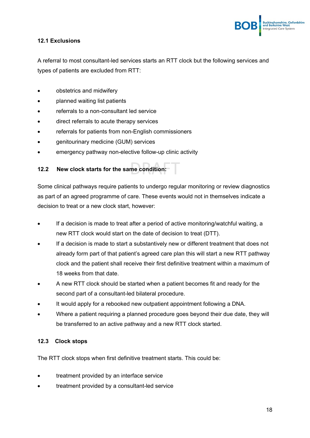

#### **12.1 Exclusions**

A referral to most consultant-led services starts an RTT clock but the following services and types of patients are excluded from RTT:

- obstetrics and midwifery
- planned waiting list patients
- referrals to a non-consultant led service
- direct referrals to acute therapy services
- referrals for patients from non-English commissioners
- genitourinary medicine (GUM) services
- emergency pathway non-elective follow-up clinic activity

#### **12.2 New clock starts for the same condition:**

Some clinical pathways require patients to undergo regular monitoring or review diagnostics as part of an agreed programme of care. These events would not in themselves indicate a decision to treat or a new clock start, however:

- If a decision is made to treat after a period of active monitoring/watchful waiting, a new RTT clock would start on the date of decision to treat (DTT).
- If a decision is made to start a substantively new or different treatment that does not already form part of that patient's agreed care plan this will start a new RTT pathway clock and the patient shall receive their first definitive treatment within a maximum of 18 weeks from that date.
- A new RTT clock should be started when a patient becomes fit and ready for the second part of a consultant-led bilateral procedure.
- It would apply for a rebooked new outpatient appointment following a DNA.
- Where a patient requiring a planned procedure goes beyond their due date, they will be transferred to an active pathway and a new RTT clock started.

#### **12.3 Clock stops**

The RTT clock stops when first definitive treatment starts. This could be:

- treatment provided by an interface service
- treatment provided by a consultant-led service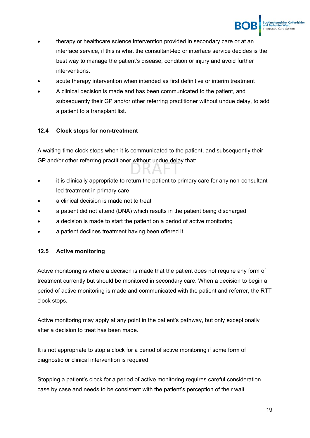

- therapy or healthcare science intervention provided in secondary care or at an interface service, if this is what the consultant-led or interface service decides is the best way to manage the patient's disease, condition or injury and avoid further interventions.
- acute therapy intervention when intended as first definitive or interim treatment
- A clinical decision is made and has been communicated to the patient, and subsequently their GP and/or other referring practitioner without undue delay, to add a patient to a transplant list.

#### **12.4 Clock stops for non-treatment**

A waiting-time clock stops when it is communicated to the patient, and subsequently their GP and/or other referring practitioner without undue delay that:

- it is clinically appropriate to return the patient to primary care for any non-consultantled treatment in primary care
- a clinical decision is made not to treat
- a patient did not attend (DNA) which results in the patient being discharged
- a decision is made to start the patient on a period of active monitoring
- a patient declines treatment having been offered it.

#### **12.5 Active monitoring**

Active monitoring is where a decision is made that the patient does not require any form of treatment currently but should be monitored in secondary care. When a decision to begin a period of active monitoring is made and communicated with the patient and referrer, the RTT clock stops.

Active monitoring may apply at any point in the patient's pathway, but only exceptionally after a decision to treat has been made.

It is not appropriate to stop a clock for a period of active monitoring if some form of diagnostic or clinical intervention is required.

Stopping a patient's clock for a period of active monitoring requires careful consideration case by case and needs to be consistent with the patient's perception of their wait.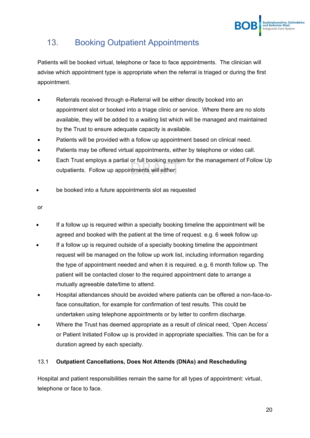## <span id="page-23-0"></span>13. Booking Outpatient Appointments

Patients will be booked virtual, telephone or face to face appointments. The clinician will advise which appointment type is appropriate when the referral is triaged or during the first appointment.

- Referrals received through e-Referral will be either directly booked into an appointment slot or booked into a triage clinic or service. Where there are no slots available, they will be added to a waiting list which will be managed and maintained by the Trust to ensure adequate capacity is available.
- Patients will be provided with a follow up appointment based on clinical need.
- Patients may be offered virtual appointments, either by telephone or video call.
- Each Trust employs a partial or full booking system for the management of Follow Up outpatients. Follow up appointments will either:
- be booked into a future appointments slot as requested

or

- If a follow up is required within a specialty booking timeline the appointment will be agreed and booked with the patient at the time of request. e.g. 6 week follow up
- If a follow up is required outside of a specialty booking timeline the appointment request will be managed on the follow up work list, including information regarding the type of appointment needed and when it is required. e.g. 6 month follow up. The patient will be contacted closer to the required appointment date to arrange a mutually agreeable date/time to attend.
- Hospital attendances should be avoided where patients can be offered a non-face-toface consultation, for example for confirmation of test results. This could be undertaken using telephone appointments or by letter to confirm discharge.
- Where the Trust has deemed appropriate as a result of clinical need, 'Open Access' or Patient Initiated Follow up is provided in appropriate specialties. This can be for a duration agreed by each specialty.

#### 13.1 **Outpatient Cancellations, Does Not Attends (DNAs) and Rescheduling**

Hospital and patient responsibilities remain the same for all types of appointment: virtual, telephone or face to face.

**Buckinghamshire, Oxfordshire<br>and Berkshire West<br>Integrated Care System**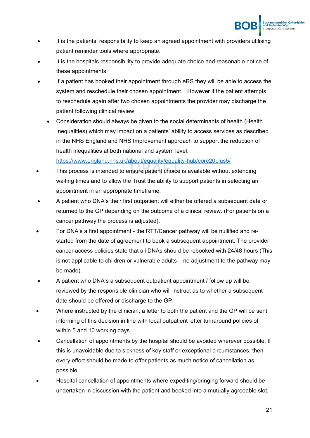- It is the patients' responsibility to keep an agreed appointment with providers utilising patient reminder tools where appropriate.
- It is the hospitals responsibility to provide adequate choice and reasonable notice of these appointments.
- If a patient has booked their appointment through eRS they will be able to access the system and reschedule their chosen appointment. However if the patient attempts to reschedule again after two chosen appointments the provider may discharge the patient following clinical review.
	- Consideration should always be given to the social determinants of health (Health Inequalities) which may impact on a patients' ability to access services as described in the NHS England and NHS Improvement approach to support the reduction of health inequalities at both national and system level:

<https://www.england.nhs.uk/about/equality/equality-hub/core20plus5/>

- This process is intended to ensure patient choice is available without extending waiting times and to allow the Trust the ability to support patients in selecting an appointment in an appropriate timeframe.
- A patient who DNA's their first outpatient will either be offered a subsequent date or returned to the GP depending on the outcome of a clinical review. (For patients on a cancer pathway the process is adjusted).
- For DNA's a first appointment the RTT/Cancer pathway will be nullified and restarted from the date of agreement to book a subsequent appointment. The provider cancer access policies state that all DNAs should be rebooked with 24/48 hours (This is not applicable to children or vulnerable adults – no adjustment to the pathway may be made).
- A patient who DNA's a subsequent outpatient appointment / follow up will be reviewed by the responsible clinician who will instruct as to whether a subsequent date should be offered or discharge to the GP.
- Where instructed by the clinician, a letter to both the patient and the GP will be sent informing of this decision in line with local outpatient letter turnaround policies of within 5 and 10 working days.
- Cancellation of appointments by the hospital should be avoided wherever possible. If this is unavoidable due to sickness of key staff or exceptional circumstances, then every effort should be made to offer patients as much notice of cancellation as possible.
- Hospital cancellation of appointments where expediting/bringing forward should be undertaken in discussion with the patient and booked into a mutually agreeable slot.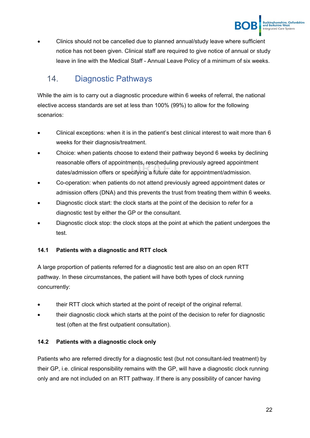

• Clinics should not be cancelled due to planned annual/study leave where sufficient notice has not been given. Clinical staff are required to give notice of annual or study leave in line with the Medical Staff - Annual Leave Policy of a minimum of six weeks.

## <span id="page-25-0"></span>14. Diagnostic Pathways

While the aim is to carry out a diagnostic procedure within 6 weeks of referral, the national elective access standards are set at less than 100% (99%) to allow for the following scenarios:

- Clinical exceptions: when it is in the patient's best clinical interest to wait more than 6 weeks for their diagnosis/treatment.
- Choice: when patients choose to extend their pathway beyond 6 weeks by declining reasonable offers of appointments, rescheduling previously agreed appointment dates/admission offers or specifying a future date for appointment/admission.
- Co-operation: when patients do not attend previously agreed appointment dates or admission offers (DNA) and this prevents the trust from treating them within 6 weeks.
- Diagnostic clock start: the clock starts at the point of the decision to refer for a diagnostic test by either the GP or the consultant.
- Diagnostic clock stop: the clock stops at the point at which the patient undergoes the test.

#### **14.1 Patients with a diagnostic and RTT clock**

A large proportion of patients referred for a diagnostic test are also on an open RTT pathway. In these circumstances, the patient will have both types of clock running concurrently:

- their RTT clock which started at the point of receipt of the original referral.
- their diagnostic clock which starts at the point of the decision to refer for diagnostic test (often at the first outpatient consultation).

#### **14.2 Patients with a diagnostic clock only**

Patients who are referred directly for a diagnostic test (but not consultant-led treatment) by their GP, i.e. clinical responsibility remains with the GP, will have a diagnostic clock running only and are not included on an RTT pathway. If there is any possibility of cancer having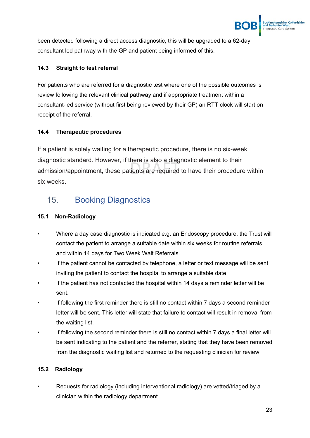

been detected following a direct access diagnostic, this will be upgraded to a 62-day consultant led pathway with the GP and patient being informed of this.

#### **14.3 Straight to test referral**

For patients who are referred for a diagnostic test where one of the possible outcomes is review following the relevant clinical pathway and if appropriate treatment within a consultant-led service (without first being reviewed by their GP) an RTT clock will start on receipt of the referral.

#### **14.4 Therapeutic procedures**

If a patient is solely waiting for a therapeutic procedure, there is no six-week diagnostic standard. However, if there is also a diagnostic element to their admission/appointment, these patients are required to have their procedure within six weeks.

## <span id="page-26-0"></span>15. Booking Diagnostics

#### **15.1 Non-Radiology**

- Where a day case diagnostic is indicated e.g. an Endoscopy procedure, the Trust will contact the patient to arrange a suitable date within six weeks for routine referrals and within 14 days for Two Week Wait Referrals.
- If the patient cannot be contacted by telephone, a letter or text message will be sent inviting the patient to contact the hospital to arrange a suitable date
- If the patient has not contacted the hospital within 14 days a reminder letter will be sent.
- If following the first reminder there is still no contact within 7 days a second reminder letter will be sent. This letter will state that failure to contact will result in removal from the waiting list.
- If following the second reminder there is still no contact within 7 days a final letter will be sent indicating to the patient and the referrer, stating that they have been removed from the diagnostic waiting list and returned to the requesting clinician for review.

#### **15.2 Radiology**

• Requests for radiology (including interventional radiology) are vetted/triaged by a clinician within the radiology department.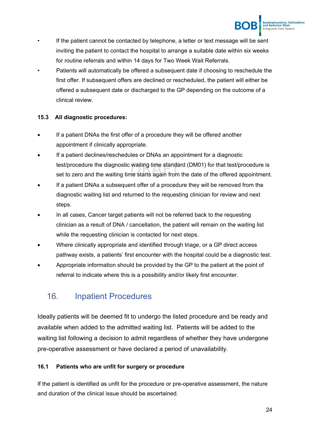

- If the patient cannot be contacted by telephone, a letter or text message will be sent inviting the patient to contact the hospital to arrange a suitable date within six weeks for routine referrals and within 14 days for Two Week Wait Referrals.
- Patients will automatically be offered a subsequent date if choosing to reschedule the first offer. If subsequent offers are declined or rescheduled, the patient will either be offered a subsequent date or discharged to the GP depending on the outcome of a clinical review.

#### **15.3 All diagnostic procedures:**

- If a patient DNAs the first offer of a procedure they will be offered another appointment if clinically appropriate.
- If a patient declines/reschedules or DNAs an appointment for a diagnostic test/procedure the diagnostic waiting time standard (DM01) for that test/procedure is set to zero and the waiting time starts again from the date of the offered appointment.
- If a patient DNAs a subsequent offer of a procedure they will be removed from the diagnostic waiting list and returned to the requesting clinician for review and next steps.
- In all cases, Cancer target patients will not be referred back to the requesting clinician as a result of DNA / cancellation, the patient will remain on the waiting list while the requesting clinician is contacted for next steps.
- Where clinically appropriate and identified through triage, or a GP direct access pathway exists, a patients' first encounter with the hospital could be a diagnostic test.
- Appropriate information should be provided by the GP to the patient at the point of referral to indicate where this is a possibility and/or likely first encounter.

## <span id="page-27-0"></span>16. Inpatient Procedures

Ideally patients will be deemed fit to undergo the listed procedure and be ready and available when added to the admitted waiting list. Patients will be added to the waiting list following a decision to admit regardless of whether they have undergone pre-operative assessment or have declared a period of unavailability.

#### **16.1 Patients who are unfit for surgery or procedure**

If the patient is identified as unfit for the procedure or pre-operative assessment, the nature and duration of the clinical issue should be ascertained.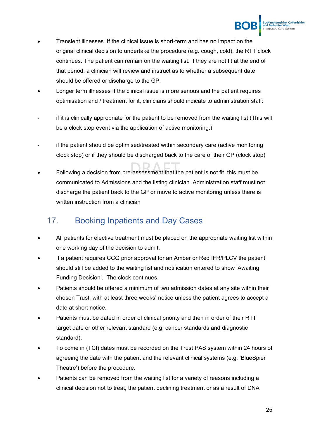

- Transient illnesses. If the clinical issue is short-term and has no impact on the original clinical decision to undertake the procedure (e.g. cough, cold), the RTT clock continues. The patient can remain on the waiting list. If they are not fit at the end of that period, a clinician will review and instruct as to whether a subsequent date should be offered or discharge to the GP.
- Longer term illnesses If the clinical issue is more serious and the patient requires optimisation and / treatment for it, clinicians should indicate to administration staff:
- if it is clinically appropriate for the patient to be removed from the waiting list (This will be a clock stop event via the application of active monitoring.)
- if the patient should be optimised/treated within secondary care (active monitoring clock stop) or if they should be discharged back to the care of their GP (clock stop)
- Following a decision from pre-assessment that the patient is not fit, this must be communicated to Admissions and the listing clinician. Administration staff must not discharge the patient back to the GP or move to active monitoring unless there is written instruction from a clinician

## <span id="page-28-0"></span>17. Booking Inpatients and Day Cases

- All patients for elective treatment must be placed on the appropriate waiting list within one working day of the decision to admit.
- If a patient requires CCG prior approval for an Amber or Red IFR/PLCV the patient should still be added to the waiting list and notification entered to show 'Awaiting Funding Decision'. The clock continues.
- Patients should be offered a minimum of two admission dates at any site within their chosen Trust, with at least three weeks' notice unless the patient agrees to accept a date at short notice.
- Patients must be dated in order of clinical priority and then in order of their RTT target date or other relevant standard (e.g. cancer standards and diagnostic standard).
- To come in (TCI) dates must be recorded on the Trust PAS system within 24 hours of agreeing the date with the patient and the relevant clinical systems (e.g. 'BlueSpier Theatre') before the procedure.
- Patients can be removed from the waiting list for a variety of reasons including a clinical decision not to treat, the patient declining treatment or as a result of DNA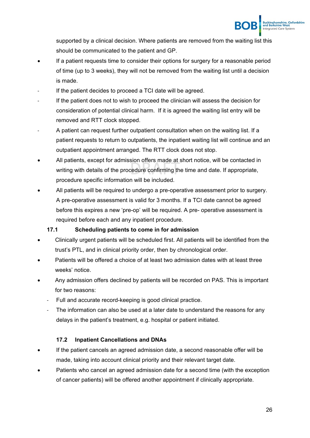

supported by a clinical decision. Where patients are removed from the waiting list this should be communicated to the patient and GP.

- If a patient requests time to consider their options for surgery for a reasonable period of time (up to 3 weeks), they will not be removed from the waiting list until a decision is made.
- If the patient decides to proceed a TCI date will be agreed.
- If the patient does not to wish to proceed the clinician will assess the decision for consideration of potential clinical harm. If it is agreed the waiting list entry will be removed and RTT clock stopped.
- A patient can request further outpatient consultation when on the waiting list. If a patient requests to return to outpatients, the inpatient waiting list will continue and an outpatient appointment arranged. The RTT clock does not stop.
- All patients, except for admission offers made at short notice, will be contacted in writing with details of the procedure confirming the time and date. If appropriate, procedure specific information will be included.
- All patients will be required to undergo a pre-operative assessment prior to surgery. A pre-operative assessment is valid for 3 months. If a TCI date cannot be agreed before this expires a new 'pre-op' will be required. A pre- operative assessment is required before each and any inpatient procedure.

#### **17.1 Scheduling patients to come in for admission**

- Clinically urgent patients will be scheduled first. All patients will be identified from the trust's PTL, and in clinical priority order, then by chronological order.
- Patients will be offered a choice of at least two admission dates with at least three weeks' notice.
- Any admission offers declined by patients will be recorded on PAS. This is important for two reasons:
	- Full and accurate record-keeping is good clinical practice.
	- The information can also be used at a later date to understand the reasons for any delays in the patient's treatment, e.g. hospital or patient initiated.

#### **17.2 Inpatient Cancellations and DNAs**

- If the patient cancels an agreed admission date, a second reasonable offer will be made, taking into account clinical priority and their relevant target date.
- Patients who cancel an agreed admission date for a second time (with the exception of cancer patients) will be offered another appointment if clinically appropriate.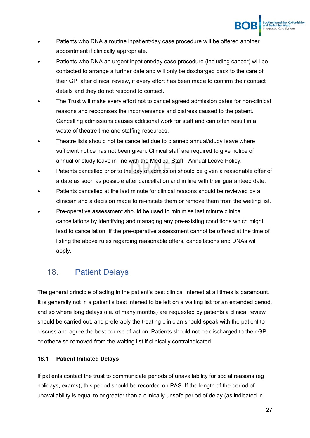

- Patients who DNA a routine inpatient/day case procedure will be offered another appointment if clinically appropriate.
- Patients who DNA an urgent inpatient/day case procedure (including cancer) will be contacted to arrange a further date and will only be discharged back to the care of their GP, after clinical review, if every effort has been made to confirm their contact details and they do not respond to contact.
- The Trust will make every effort not to cancel agreed admission dates for non-clinical reasons and recognises the inconvenience and distress caused to the patient. Cancelling admissions causes additional work for staff and can often result in a waste of theatre time and staffing resources.
- Theatre lists should not be cancelled due to planned annual/study leave where sufficient notice has not been given. Clinical staff are required to give notice of annual or study leave in line with the Medical Staff - Annual Leave Policy.
- Patients cancelled prior to the day of admission should be given a reasonable offer of a date as soon as possible after cancellation and in line with their guaranteed date.
- Patients cancelled at the last minute for clinical reasons should be reviewed by a clinician and a decision made to re-instate them or remove them from the waiting list.
- Pre-operative assessment should be used to minimise last minute clinical cancellations by identifying and managing any pre-existing conditions which might lead to cancellation. If the pre-operative assessment cannot be offered at the time of listing the above rules regarding reasonable offers, cancellations and DNAs will apply.

## <span id="page-30-0"></span>18. Patient Delays

The general principle of acting in the patient's best clinical interest at all times is paramount. It is generally not in a patient's best interest to be left on a waiting list for an extended period, and so where long delays (i.e. of many months) are requested by patients a clinical review should be carried out, and preferably the treating clinician should speak with the patient to discuss and agree the best course of action. Patients should not be discharged to their GP, or otherwise removed from the waiting list if clinically contraindicated.

#### **18.1 Patient Initiated Delays**

If patients contact the trust to communicate periods of unavailability for social reasons (eg holidays, exams), this period should be recorded on PAS. If the length of the period of unavailability is equal to or greater than a clinically unsafe period of delay (as indicated in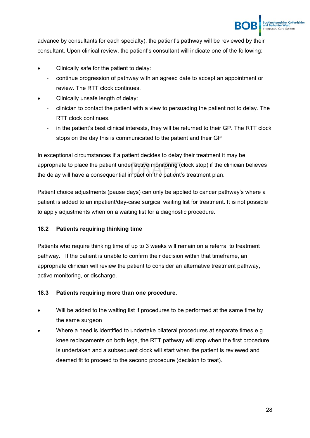

advance by consultants for each specialty), the patient's pathway will be reviewed by their consultant. Upon clinical review, the patient's consultant will indicate one of the following:

- Clinically safe for the patient to delay:
	- continue progression of pathway with an agreed date to accept an appointment or review. The RTT clock continues.
- Clinically unsafe length of delay:
	- clinician to contact the patient with a view to persuading the patient not to delay. The RTT clock continues.
	- in the patient's best clinical interests, they will be returned to their GP. The RTT clock stops on the day this is communicated to the patient and their GP

In exceptional circumstances if a patient decides to delay their treatment it may be appropriate to place the patient under active monitoring (clock stop) if the clinician believes the delay will have a consequential impact on the patient's treatment plan.

Patient choice adjustments (pause days) can only be applied to cancer pathway's where a patient is added to an inpatient/day-case surgical waiting list for treatment. It is not possible to apply adjustments when on a waiting list for a diagnostic procedure.

#### **18.2 Patients requiring thinking time**

Patients who require thinking time of up to 3 weeks will remain on a referral to treatment pathway. If the patient is unable to confirm their decision within that timeframe, an appropriate clinician will review the patient to consider an alternative treatment pathway, active monitoring, or discharge.

#### **18.3 Patients requiring more than one procedure.**

- Will be added to the waiting list if procedures to be performed at the same time by the same surgeon
- Where a need is identified to undertake bilateral procedures at separate times e.g. knee replacements on both legs, the RTT pathway will stop when the first procedure is undertaken and a subsequent clock will start when the patient is reviewed and deemed fit to proceed to the second procedure (decision to treat).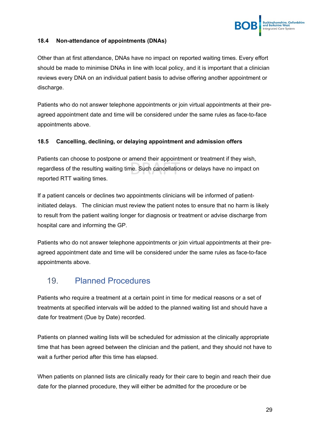

#### **18.4 Non-attendance of appointments (DNAs)**

Other than at first attendance, DNAs have no impact on reported waiting times. Every effort should be made to minimise DNAs in line with local policy, and it is important that a clinician reviews every DNA on an individual patient basis to advise offering another appointment or discharge.

Patients who do not answer telephone appointments or join virtual appointments at their preagreed appointment date and time will be considered under the same rules as face-to-face appointments above.

#### **18.5 Cancelling, declining, or delaying appointment and admission offers**

Patients can choose to postpone or amend their appointment or treatment if they wish, regardless of the resulting waiting time. Such cancellations or delays have no impact on reported RTT waiting times.

If a patient cancels or declines two appointments clinicians will be informed of patientinitiated delays. The clinician must review the patient notes to ensure that no harm is likely to result from the patient waiting longer for diagnosis or treatment or advise discharge from hospital care and informing the GP.

Patients who do not answer telephone appointments or join virtual appointments at their preagreed appointment date and time will be considered under the same rules as face-to-face appointments above.

## <span id="page-32-0"></span>19. Planned Procedures

Patients who require a treatment at a certain point in time for medical reasons or a set of treatments at specified intervals will be added to the planned waiting list and should have a date for treatment (Due by Date) recorded.

Patients on planned waiting lists will be scheduled for admission at the clinically appropriate time that has been agreed between the clinician and the patient, and they should not have to wait a further period after this time has elapsed.

When patients on planned lists are clinically ready for their care to begin and reach their due date for the planned procedure, they will either be admitted for the procedure or be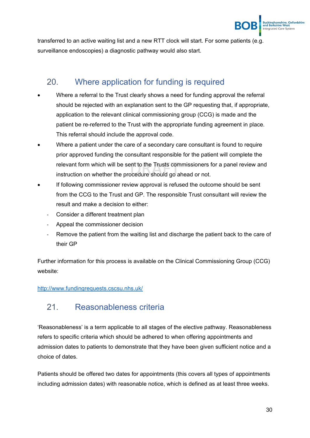

transferred to an active waiting list and a new RTT clock will start. For some patients (e.g. surveillance endoscopies) a diagnostic pathway would also start.

## <span id="page-33-0"></span>20. Where application for funding is required

- Where a referral to the Trust clearly shows a need for funding approval the referral should be rejected with an explanation sent to the GP requesting that, if appropriate, application to the relevant clinical commissioning group (CCG) is made and the patient be re-referred to the Trust with the appropriate funding agreement in place. This referral should include the approval code.
- Where a patient under the care of a secondary care consultant is found to require prior approved funding the consultant responsible for the patient will complete the relevant form which will be sent to the Trusts commissioners for a panel review and instruction on whether the procedure should go ahead or not.
- If following commissioner review approval is refused the outcome should be sent from the CCG to the Trust and GP. The responsible Trust consultant will review the result and make a decision to either:
	- Consider a different treatment plan
	- Appeal the commissioner decision
	- Remove the patient from the waiting list and discharge the patient back to the care of their GP

Further information for this process is available on the Clinical Commissioning Group (CCG) website:

#### <http://www.fundingrequests.cscsu.nhs.uk/>

## <span id="page-33-1"></span>21. Reasonableness criteria

'Reasonableness' is a term applicable to all stages of the elective pathway. Reasonableness refers to specific criteria which should be adhered to when offering appointments and admission dates to patients to demonstrate that they have been given sufficient notice and a choice of dates.

Patients should be offered two dates for appointments (this covers all types of appointments including admission dates) with reasonable notice, which is defined as at least three weeks.